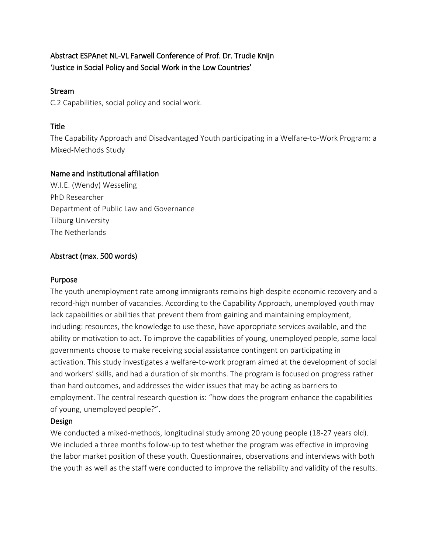# Abstract ESPAnet NL-VL Farwell Conference of Prof. Dr. Trudie Knijn 'Justice in Social Policy and Social Work in the Low Countries'

## Stream

C.2 Capabilities, social policy and social work.

# **Title**

The Capability Approach and Disadvantaged Youth participating in a Welfare-to-Work Program: a Mixed-Methods Study

# Name and institutional affiliation

W.I.E. (Wendy) Wesseling PhD Researcher Department of Public Law and Governance Tilburg University The Netherlands

# Abstract (max. 500 words)

## Purpose

The youth unemployment rate among immigrants remains high despite economic recovery and a record-high number of vacancies. According to the Capability Approach, unemployed youth may lack capabilities or abilities that prevent them from gaining and maintaining employment, including: resources, the knowledge to use these, have appropriate services available, and the ability or motivation to act. To improve the capabilities of young, unemployed people, some local governments choose to make receiving social assistance contingent on participating in activation. This study investigates a welfare-to-work program aimed at the development of social and workers' skills, and had a duration of six months. The program is focused on progress rather than hard outcomes, and addresses the wider issues that may be acting as barriers to employment. The central research question is: "how does the program enhance the capabilities of young, unemployed people?".

## Design

We conducted a mixed-methods, longitudinal study among 20 young people (18-27 years old). We included a three months follow-up to test whether the program was effective in improving the labor market position of these youth. Questionnaires, observations and interviews with both the youth as well as the staff were conducted to improve the reliability and validity of the results.